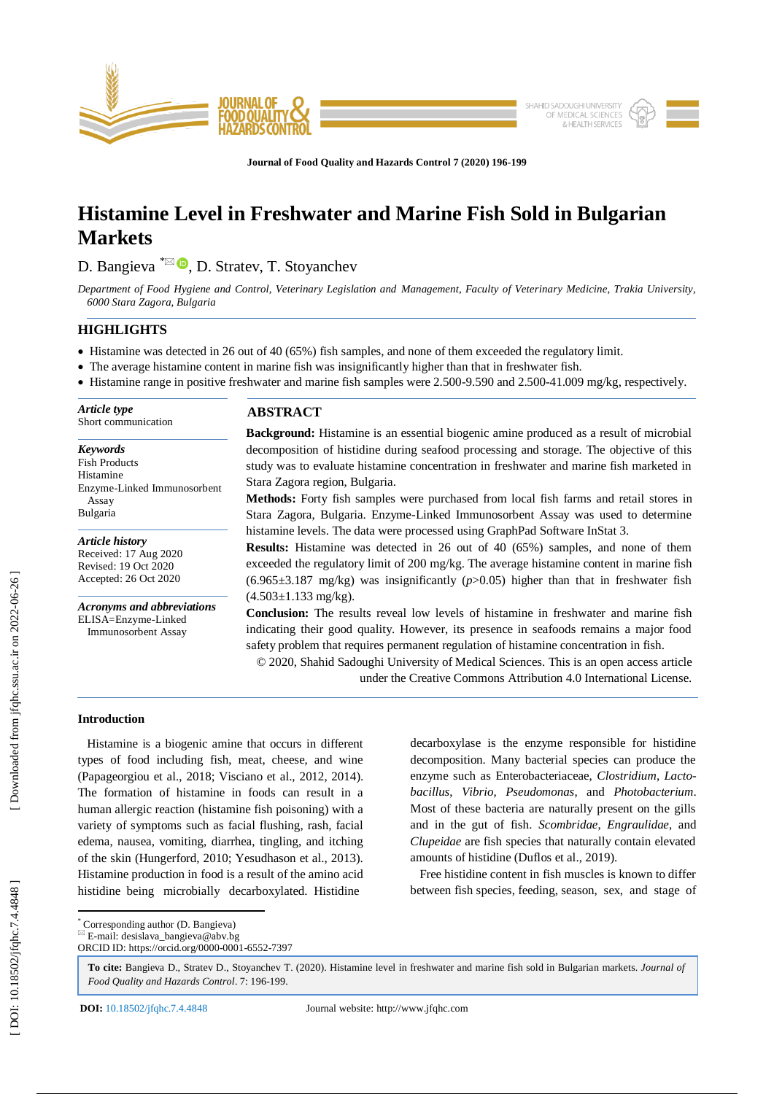

**Journal of Food Quality and Hazards Control 7 (2020) 196 - 199**

# **Histamine Level in Freshwater and Marine Fish Sold in Bulgarian Markets**

D. Bangieva <sup>\*⊠ (D</sup>, D. Stratev, T. Stoyanchev

*Department of Food Hygiene and Control, Veterinary Legislation and Management, Faculty of Veterinary Medicine, Trakia University, 6000 Stara Zagora, Bulgaria*

# **HIGHLIGHTS**

- Histamine was detected in 26 out of 40 (65%) fish samples, and none of them exceeded the regulatory limit.
- The average histamine content in marine fish was insignificantly higher than that in freshwater fish.
- Histamine range in positive freshwater and marine fish samples were 2.500-9.590 and 2.500-41.009 mg/kg, respectively.

**ABSTRACT Background:** Histamine is an essential biogenic amine produced as a result of microbial decomposition of histidine during seafood processing and storage. The objective of this study was to evaluate histamine concentration in freshwater and marine fish marketed in Stara Zagora region, Bulgaria. *Article type* Short communication *Keywords* Fish Products Histamine Enzyme -Linked Immunosorbent

**Methods:** Forty fish samples were purchased from local fish farms and retail stores in Stara Zagora, Bulgaria. Enzyme -Linked Immunosorbent Assay was used to determine histamine levels. The data were processed using GraphPad Software InStat 3.

**Results:** Histamine was detected in 26 out of 40 (65%) samples, and none of them exceeded the regulatory limit of 200 mg/kg. The average histamine content in marine fish  $(6.965\pm3.187 \text{ mg/kg})$  was insignificantly  $(p>0.05)$  higher than that in freshwater fish  $(4.503 \pm 1.133 \text{ mg/kg})$ .

**Conclusion:** The results reveal low levels of histamine in freshwater and marine fish indicating their good quality. However, its presence in seafoods remains a major food safety problem that requires permanent regulation of histamine concentration in fish.

© 2020, Shahid Sadoughi University of Medical Sciences. This is an open access article under the Creative Commons Attribution 4.0 International License.

# **Introduction**

Assay Bulgaria

*Article history* Received: 17 Aug 2020 Revised: 19 Oct 2020 Accepted: 2 6 Oct 2020

*Acronyms and abbreviations* ELISA=Enzyme -Linked Immunosorbent Assay

 Histamine is a biogenic amine that occurs in different types of food including fish, meat, cheese, and wine (Papageorgiou et al., 2018; Visciano et al., 2012, 2014). The formation of histamine in foods can result in a human allergic reaction (histamine fish poisoning) with a variety of symptoms such as facial flushing, rash, facial edema, nausea, vomiting, diarrhea, tingling, and itching of the skin (Hungerford, 2010; Yesudhason et al., 2013). Histamine production in food is a result of the amino acid histidine being microbially decarboxylated. Histidine

decarboxylase is the enzyme responsible for histidine decomposition. Many bacterial species can produce the enzyme such as Enterobacteriaceae, *Clostridium*, *Lactobacillus*, *Vibrio*, *Pseudomonas*, and *Photobacterium*. Most of these bacteria are naturally present on the gills and in the gut of fish. *Scombridae*, *Engraulidae*, and *Clupeidae* are fish species that naturally contain elevated amounts of histidine (Duflos et al., 2019).

 Free histidine content in fish muscles is known to differ between fish species, feeding, season, sex, and stage of

\* Corresponding author (D. Bangieva)

**To cite:** Bangieva D., Stratev D., Stoyanchev T. (2020). Histamine level in freshwater and marine fish sold in Bulgarian markets. *Journal of*  Food Quality and Hazards Control. 7: 196-199.

**DOI:** 10.18502/jfqhc.7.4.4848

 $E$ -mail: desislava\_bangieva@abv.bg ORCID ID: https://orcid.org/0000 -0001 -6552 -7397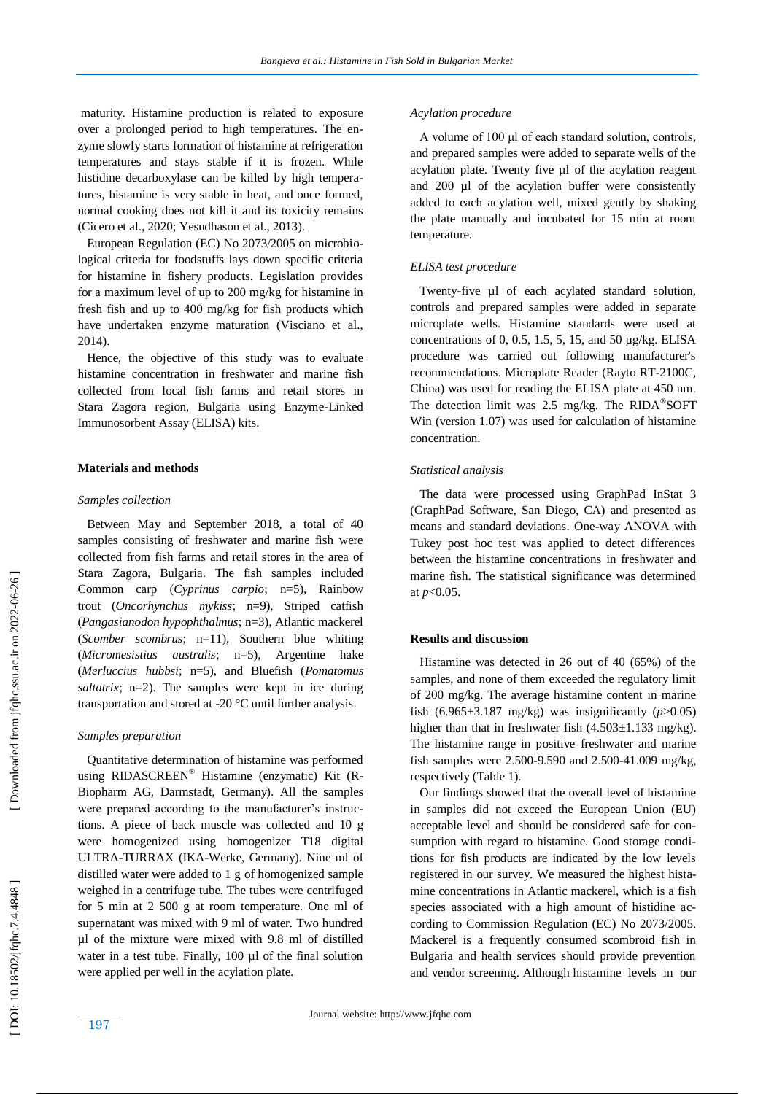maturity. Histamine production is related to exposure over a prolonged period to high temperatures. The enzyme slowly starts formation of histamine at refrigeration temperatures and stays stable if it is frozen. While histidine decarboxylase can be killed by high temperatures, histamine is very stable in heat, and once formed, normal cooking does not kill it and its toxicity remains (Cicero et al., 2020; Yesudhason et al., 2013).

 European Regulation (EC) No 2073/2005 on microbiological criteria for foodstuffs lays down specific criteria for histamine in fishery products. Legislation provides for a maximum level of up to 200 mg/kg for histamine in fresh fish and up to 400 mg/kg for fish products which have undertaken enzyme maturation (Visciano et al., 2014).

 Hence, the objective of this study was to evaluate histamine concentration in freshwater and marine fish collected from local fish farms and retail stores in Stara Zagora region, Bulgaria using Enzyme -Linked Immunosorbent Assay (ELISA) kits.

# **Materials and methods**

#### *Samples collection*

 Between May and September 2018, a total of 40 samples consisting of freshwater and marine fish were collected from fish farms and retail stores in the area of Stara Zagora, Bulgaria. The fish samples included Common carp (*Cyprinus carpio*; n=5), Rainbow trout (*Oncorhynchus mykiss*; n=9), Striped catfish<br>(*Pangasianodon hypophthalmus*; n=3), Atlantic mackerel<br>(*Scomber scombrus*; n=11), Southern blue whiting<br>(*Micromesistius australis*; n=5), Argentine hake<br>(*Merluccius saltatrix*; n=2). The samples were kept in ice during transportation and stored at -20 °C until further analysis.

#### *Samples preparation*

 Quantitative determination of histamine was performed using RIDASCREEN® Histamine (enzymatic) Kit (R-Biopharm AG, Darmstadt, Germany). All the samples were prepared according to the manufacturer's instructions. A piece of back muscle was collected and 10 g were homogenized using homogenizer T18 digital ULTRA -TURRAX (IKA -Werke, Germany). Nine ml of distilled water were added to 1 g of homogenized sample weighed in a centrifuge tube. The tubes were centrifuged for 5 min at 2 500 g at room temperature. One ml of supernatant was mixed with 9 ml of water. Two hundred µl of the mixture were mixed with 9.8 ml of distilled water in a test tube. Finally, 100 µl of the final solution were applied per well in the acylation plate.

## *Acylation procedure*

 A volume of 100 μl of each standard solution, controls , and prepared samples were added to separate wells of the acylation plate. Twenty five µl of the acylation reagent and 200 µl of the acylation buffer were consistently added to each acylation well, mixed gently by shaking the plate manually and incubated for 15 min at room temperature .

## *ELISA test procedure*

Twenty-five ul of each acylated standard solution, controls and prepared samples were added in separate microplate wells. Histamine standards were used at concentrations of 0, 0.5, 1.5, 5, 15, and 50 µg/kg. ELISA procedure was carried out following manufacturer's recommendations. Microplate Reader (Rayto RT -2100C, China) was used for reading the ELISA plate at 450 nm. The detection limit was 2.5 mg/kg. The RIDA®SOFT Win (version 1.07) was used for calculation of histamine concentration.

## *Statistical analysis*

 The data were processed using GraphPad InStat 3 (GraphPad Software, San Diego, CA) and presented as means and standard deviations. One -way ANOVA with Tukey post hoc test was applied to detect differences between the histamine concentrations in freshwater and marine fish. The statistical significance was determined at *p*<0.05.

#### **Results and discussion**

 Histamine was detected in 26 out of 40 (65%) of the samples, and none of them exceeded the regulatory limit of 200 mg/kg. The average histamine content in marine fish  $(6.965\pm3.187 \text{ mg/kg})$  was insignificantly  $(p>0.05)$ higher than that in freshwater fish  $(4.503 \pm 1.133 \text{ mg/kg})$ . The histamine range in positive freshwater and marine fish samples were 2.500 -9.590 and 2.500 -41.009 mg/kg, respectively (Table 1).

 Our findings showed that the overall level of histamine in samples did not exceed the European Union (EU) acceptable level and should be considered safe for consumption with regard to histamine. Good storage conditions for fish products are indicated by the low levels registered in our survey. We measured the highest histamine concentrations in Atlantic mackerel, which is a fish species associated with a high amount of histidine according to Commission Regulation (EC) No 2073/2005. Mackerel is a frequently consumed scombroid fish in Bulgaria and health services should provide prevention and vendor screening. Although histamine levels in our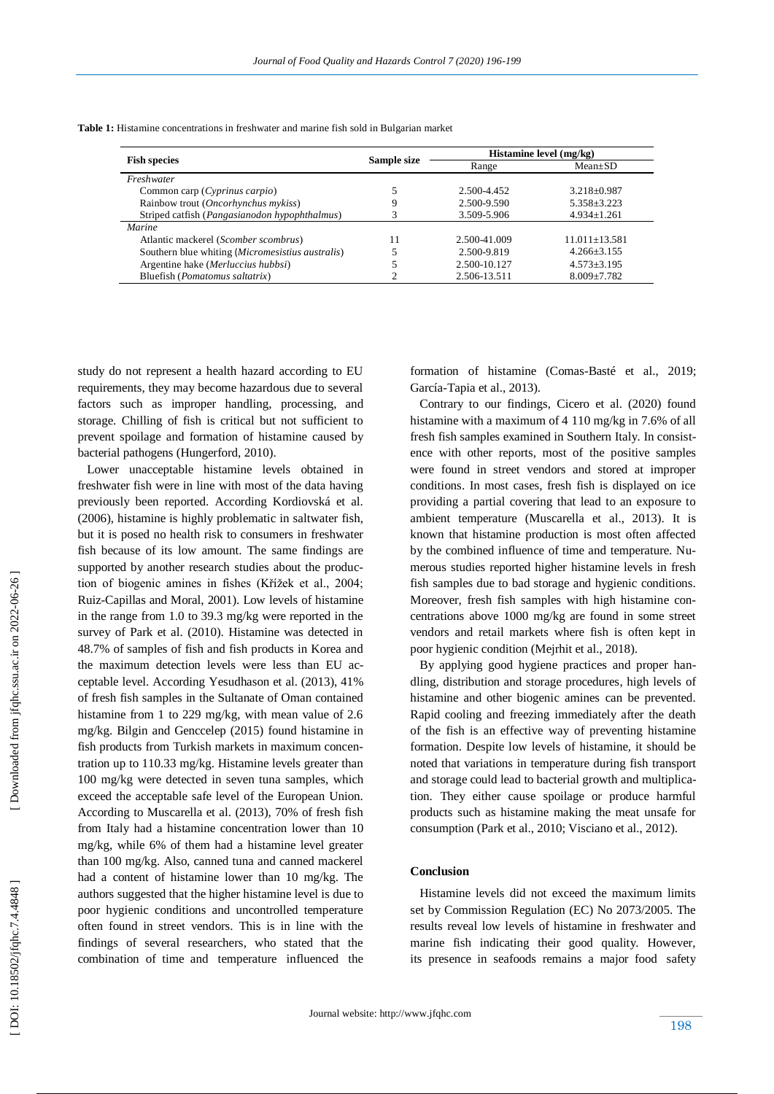| <b>Table 1:</b> Histamine concentrations in freshwater and marine fish sold in Bulgarian market |  |
|-------------------------------------------------------------------------------------------------|--|
|-------------------------------------------------------------------------------------------------|--|

| <b>Fish species</b>                                    | Sample size | Histamine level (mg/kg) |                   |
|--------------------------------------------------------|-------------|-------------------------|-------------------|
|                                                        |             | Range                   | $Mean \pm SD$     |
| Freshwater                                             |             |                         |                   |
| Common carp (Cyprinus carpio)                          |             | 2.500-4.452             | $3.218 \pm 0.987$ |
| Rainbow trout (Oncorhynchus mykiss)                    | Q           | 2.500-9.590             | $5.358 \pm 3.223$ |
| Striped catfish ( <i>Pangasianodon hypophthalmus</i> ) |             | 3.509-5.906             | $4.934 \pm 1.261$ |
| Marine                                                 |             |                         |                   |
| Atlantic mackerel ( <i>Scomber scombrus</i> )          | 11          | 2.500-41.009            | $11.011 + 13.581$ |
| Southern blue whiting (Micromesistius australis)       |             | 2.500-9.819             | $4.266 \pm 3.155$ |
| Argentine hake (Merluccius hubbsi)                     |             | 2.500-10.127            | $4.573 \pm 3.195$ |
| Bluefish ( <i>Pomatomus saltatrix</i> )                |             | 2.506-13.511            | $8.009 \pm 7.782$ |

study do not represent a health hazard according to EU requirements, they may become hazardous due to several factors such as improper handling, processing, and storage. Chilling of fish is critical but not sufficient to prevent spoilage and formation of histamine caused by bacterial pathogens (Hungerford, 2010).

 Lower unacceptable histamine levels obtained in freshwater fish were in line with most of the data having previously been reported. According Kordiovská et al. (2006), histamine is highly problematic in saltwater fish, but it is posed no health risk to consumers in freshwater fish because of its low amount. The same findings are supported by another research studies about the production of biogenic amines in fishes (Křížek et al., 2004; Ruiz -Capillas and Moral, 2001). Low levels of histamine in the range from 1.0 to 39.3 mg/kg were reported in the survey of Park et al. (2010). Histamine was detected in 48.7% of samples of fish and fish products in Korea and the maximum detection levels were less than EU acceptable level. According Yesudhason et al. (2013), 41% of fresh fish samples in the Sultanate of Oman contained histamine from 1 to 229 mg/kg, with mean value of 2.6 mg/kg. Bilgin and Genccelep (2015) found histamine in fish products from Turkish markets in maximum concentration up to 110.33 mg/kg. Histamine levels greater than 100 mg/kg were detected in seven tuna samples, which exceed the acceptable safe level of the European Union. According to Muscarella et al. (2013), 70% of fresh fish from Italy had a histamine concentration lower than 10 mg/kg, while 6% of them had a histamine level greater than 100 mg/kg. Also, canned tuna and canned mackerel had a content of histamine lower than 10 mg/kg. The authors suggested that the higher histamine level is due to poor hygienic conditions and uncontrolled temperature often found in street vendors. This is in line with the fin dings of several researchers, who stated that the combination of time and temperature influenced the

formation of histamine (Comas -Basté et al., 2019; García -Tapia et al., 2013).

 Contrary to our findings, Cicero et al. (2020) found histamine with a maximum of 4 110 mg/kg in 7.6% of all fresh fish samples examined in Southern Italy. In consistence with other reports, most of the positive samples were found in street vendors and stored at improper conditions. In most cases, fresh fish is displayed on ice providing a partial covering that lead to an exposure to ambient temperature (Muscarella et al., 2013). It is known that histamine production is most often affected by the combined influence of time and temperature. Numerous studies reported higher histamine levels in fresh fish samples due to bad storage and hygienic conditions. Moreover, fresh fish samples with high histamine concentrations above 1000 mg/kg are found in some street vendors and retail markets where fish is often kept in poor hygienic condition (Mejrhit et al., 2018).

 By applying good hygiene practices and proper handling, distribution and storage procedures, high levels of histamine and other biogenic amines can be prevented. Rapid cooling and freezing immediately after the death of the fish is an effective way of preventing histamine formation. Despite low levels of histamine, it should be noted that variations in temperature during fish transport and storage could lead to bacterial growth and multiplication. They either cause spoilage or produce harmful products such as histamine making the meat unsafe for consumption (Park et al., 2010; Visciano et al., 2012).

# **Conclusion**

 Histamine levels did not exceed the maximum limits set by Commission Regulation (EC) No 2073/2005. The results reveal low levels of histamine in freshwater and marine fish indicating their good quality. However, its presence in seafoods remains a major food safety